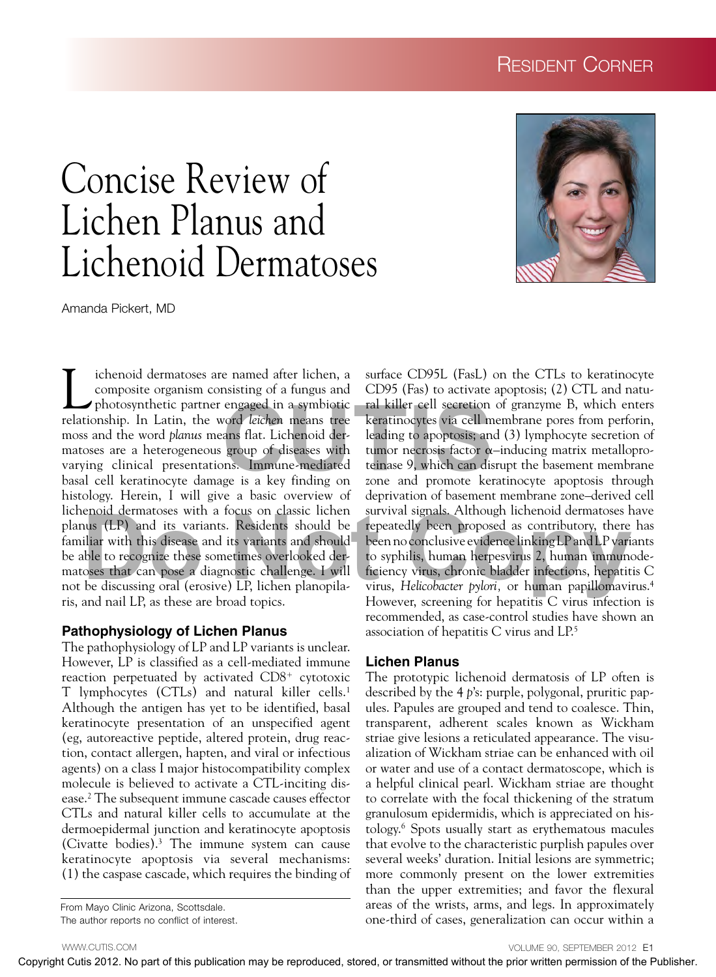# Resident Corner

# Concise Review of Lichen Planus and Lichenoid Dermatoses

Amanda Pickert, MD

Lichenoid dermatoses are named after lichen, a<br>
composite organism consisting of a fungus and<br>
photosynthetic partner engaged in a symbiotic<br>
relationship. In Latin, the word leighen means tree composite organism consisting of a fungus and relationship. In Latin, the word *leichen* means tree moss and the word *planus* means flat. Lichenoid dermatoses are a heterogeneous group of diseases with varying clinical presentations. Immune-mediated basal cell keratinocyte damage is a key finding on histology. Herein, I will give a basic overview of lichenoid dermatoses with a focus on classic lichen planus (LP) and its variants. Residents should be familiar with this disease and its variants and should be able to recognize these sometimes overlooked dermatoses that can pose a diagnostic challenge. I will not be discussing oral (erosive) LP, lichen planopilaris, and nail LP, as these are broad topics. the definition of the same of the contribution of the same of the same of the same of the same of the same of the same of the same of the same of the same of the same of the same of the same of the same of the same of the

#### **Pathophysiology of Lichen Planus**

The pathophysiology of LP and LP variants is unclear. However, LP is classified as a cell-mediated immune reaction perpetuated by activated  $CD8<sup>+</sup>$  cytotoxic T lymphocytes (CTLs) and natural killer cells.1 Although the antigen has yet to be identified, basal keratinocyte presentation of an unspecified agent (eg, autoreactive peptide, altered protein, drug reaction, contact allergen, hapten, and viral or infectious agents) on a class I major histocompatibility complex molecule is believed to activate a CTL-inciting disease.2 The subsequent immune cascade causes effector CTLs and natural killer cells to accumulate at the dermoepidermal junction and keratinocyte apoptosis (Civatte bodies).3 The immune system can cause keratinocyte apoptosis via several mechanisms: (1) the caspase cascade, which requires the binding of

From Mayo Clinic Arizona, Scottsdale. The author reports no conflict of interest.



surface CD95L (FasL) on the CTLs to keratinocyte CD95 (Fas) to activate apoptosis; (2) CTL and natural killer cell secretion of granzyme B, which enters keratinocytes via cell membrane pores from perforin, leading to apoptosis; and (3) lymphocyte secretion of tumor necrosis factor  $\alpha$ -inducing matrix metalloproteinase 9, which can disrupt the basement membrane zone and promote keratinocyte apoptosis through deprivation of basement membrane zone–derived cell survival signals. Although lichenoid dermatoses have repeatedly been proposed as contributory, there has been no conclusive evidence linking LP and LP variants to syphilis, human herpesvirus 2, human immunodeficiency virus, chronic bladder infections, hepatitis C virus, *Helicobacter pylori,* or human papillomavirus.4 However, screening for hepatitis C virus infection is recommended, as case-control studies have shown an association of hepatitis C virus and LP.5 engaged in a symbotic<br>
engaged in a symbotic<br>
can kell there is ecretion of given<br>
ans flat. Lichenoid derbined in the leading to apoptosis; and (3)<br>
group of diseases with<br>
tumor necrosis factor  $\alpha$ -indi<br>
more necrosis

#### **Lichen Planus**

The prototypic lichenoid dermatosis of LP often is described by the 4 *p*'s: purple, polygonal, pruritic papules. Papules are grouped and tend to coalesce. Thin, transparent, adherent scales known as Wickham striae give lesions a reticulated appearance. The visualization of Wickham striae can be enhanced with oil or water and use of a contact dermatoscope, which is a helpful clinical pearl. Wickham striae are thought to correlate with the focal thickening of the stratum granulosum epidermidis, which is appreciated on histology.6 Spots usually start as erythematous macules that evolve to the characteristic purplish papules over several weeks' duration. Initial lesions are symmetric; more commonly present on the lower extremities than the upper extremities; and favor the flexural areas of the wrists, arms, and legs. In approximately one-third of cases, generalization can occur within a

WWW.CUTIS.COM

VOLUME 90, SEPTEMBER 2012 E1

Copyright Cutis 2012. No part of this publication may be reproduced, stored, or transmitted without the prior written permission of the Publisher.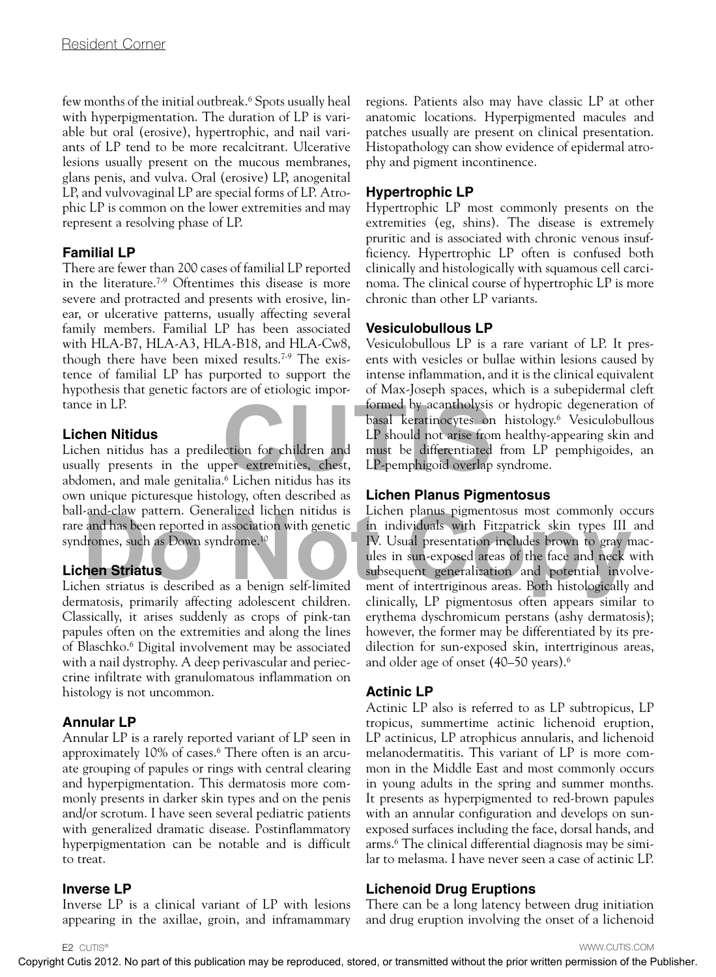few months of the initial outbreak.6 Spots usually heal with hyperpigmentation. The duration of LP is variable but oral (erosive), hypertrophic, and nail variants of LP tend to be more recalcitrant. Ulcerative lesions usually present on the mucous membranes, glans penis, and vulva. Oral (erosive) LP, anogenital LP, and vulvovaginal LP are special forms of LP. Atrophic LP is common on the lower extremities and may represent a resolving phase of LP.

### **Familial LP**

There are fewer than 200 cases of familial LP reported in the literature.7-9 Oftentimes this disease is more severe and protracted and presents with erosive, linear, or ulcerative patterns, usually affecting several family members. Familial LP has been associated with HLA-B7, HLA-A3, HLA-B18, and HLA-Cw8, though there have been mixed results.7-9 The existence of familial LP has purported to support the hypothesis that genetic factors are of etiologic importance in LP.

#### **Lichen Nitidus**

Lichen nitidus has a predilection for children and usually presents in the upper extremities, chest, abdomen, and male genitalia.6 Lichen nitidus has its own unique picturesque histology, often described as ball-and-claw pattern. Generalized lichen nitidus is rare and has been reported in association with genetic syndromes, such as Down syndrome.10

#### **Lichen Striatus**

Lichen striatus is described as a benign self-limited dermatosis, primarily affecting adolescent children. Classically, it arises suddenly as crops of pink-tan papules often on the extremities and along the lines of Blaschko.6 Digital involvement may be associated with a nail dystrophy. A deep perivascular and perieccrine infiltrate with granulomatous inflammation on histology is not uncommon.

### **Annular LP**

Annular LP is a rarely reported variant of LP seen in approximately 10% of cases.6 There often is an arcuate grouping of papules or rings with central clearing and hyperpigmentation. This dermatosis more commonly presents in darker skin types and on the penis and/or scrotum. I have seen several pediatric patients with generalized dramatic disease. Postinflammatory hyperpigmentation can be notable and is difficult to treat.

#### **Inverse LP**

Inverse LP is a clinical variant of LP with lesions appearing in the axillae, groin, and inframammary

regions. Patients also may have classic LP at other anatomic locations. Hyperpigmented macules and patches usually are present on clinical presentation. Histopathology can show evidence of epidermal atrophy and pigment incontinence.

## **Hypertrophic LP**

Hypertrophic LP most commonly presents on the extremities (eg, shins). The disease is extremely pruritic and is associated with chronic venous insufficiency. Hypertrophic LP often is confused both clinically and histologically with squamous cell carcinoma. The clinical course of hypertrophic LP is more chronic than other LP variants.

#### **Vesiculobullous LP**

Vesiculobullous LP is a rare variant of LP. It presents with vesicles or bullae within lesions caused by intense inflammation, and it is the clinical equivalent of Max-Joseph spaces, which is a subepidermal cleft formed by acantholysis or hydropic degeneration of basal keratinocytes on histology.6 Vesiculobullous LP should not arise from healthy-appearing skin and must be differentiated from LP pemphigoides, an LP-pemphigoid overlap syndrome. Formed by acantholysis of r<br>
basal keratinocytes on his<br>
LP should not arise from he<br>
cution for children and<br>
must be differentiated from<br>
per extremities, chest, LP-pemphigoid overlap synd<br>
<sup>6</sup> Lichen nitidus has its<br>
la

#### **Lichen Planus Pigmentosus**

Lichen planus pigmentosus most commonly occurs in individuals with Fitzpatrick skin types III and IV. Usual presentation includes brown to gray macules in sun-exposed areas of the face and neck with subsequent generalization and potential involvement of intertriginous areas. Both histologically and clinically, LP pigmentosus often appears similar to erythema dyschromicum perstans (ashy dermatosis); however, the former may be differentiated by its predilection for sun-exposed skin, intertriginous areas, and older age of onset (40–50 years).6 and has been reported in association with genetic in individuals with Fitzpatrick skin types III<br>dromes, such as Down syndrome.<sup>10</sup> IV. Usual presentation includes brown to gray n<br>les in sun-exposed areas of the face and n

### **Actinic LP**

Actinic LP also is referred to as LP subtropicus, LP tropicus, summertime actinic lichenoid eruption, LP actinicus, LP atrophicus annularis, and lichenoid melanodermatitis. This variant of LP is more common in the Middle East and most commonly occurs in young adults in the spring and summer months. It presents as hyperpigmented to red-brown papules with an annular configuration and develops on sunexposed surfaces including the face, dorsal hands, and arms.6 The clinical differential diagnosis may be similar to melasma. I have never seen a case of actinic LP.

# **Lichenoid Drug Eruptions**

There can be a long latency between drug initiation and drug eruption involving the onset of a lichenoid

WWW.CUTIS.COM

Copyright Cutis 2012. No part of this publication may be reproduced, stored, or transmitted without the prior written permission of the Publisher.